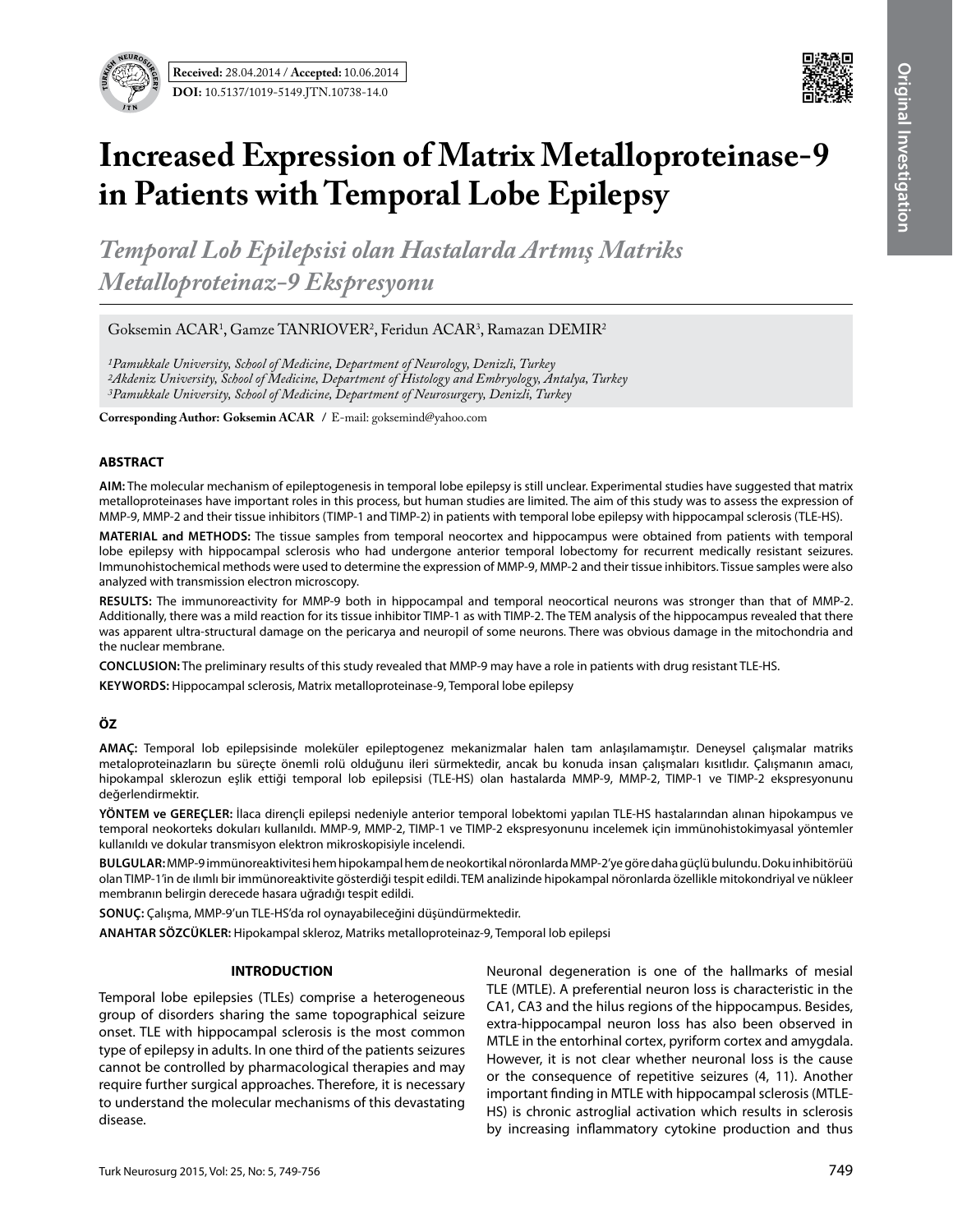



# **Increased Expression of Matrix Metalloproteinase-9 in Patients with Temporal Lobe Epilepsy**

*Temporal Lob Epilepsisi olan Hastalarda Artmış Matriks Metalloproteinaz-9 Ekspresyonu*

Goksemin ACAR<sup>1</sup>, Gamze TANRIOVER<sup>2</sup>, Feridun ACAR<sup>3</sup>, Ramazan DEMIR<sup>2</sup>

*1Pamukkale University, School of Medicine, Department of Neurology, Denizli, Turkey 2Akdeniz University, School of Medicine, Department of Histology and Embryology, Antalya, Turkey 3Pamukkale University, School of Medicine, Department of Neurosurgery, Denizli, Turkey*

**Corresponding Author: Goksemin Acar /** E-mail: goksemind@yahoo.com

# **ABSTRACT**

**AIm:** The molecular mechanism of epileptogenesis in temporal lobe epilepsy is still unclear. Experimental studies have suggested that matrix metalloproteinases have important roles in this process, but human studies are limited. The aim of this study was to assess the expression of MMP-9, MMP-2 and their tissue inhibitors (TIMP-1 and TIMP-2) in patients with temporal lobe epilepsy with hippocampal sclerosis (TLE-HS).

**MaterIal and Methods:** The tissue samples from temporal neocortex and hippocampus were obtained from patients with temporal lobe epilepsy with hippocampal sclerosis who had undergone anterior temporal lobectomy for recurrent medically resistant seizures. Immunohistochemical methods were used to determine the expression of MMP-9, MMP-2 and their tissue inhibitors. Tissue samples were also analyzed with transmission electron microscopy.

**Results:** The immunoreactivity for MMP-9 both in hippocampal and temporal neocortical neurons was stronger than that of MMP-2. Additionally, there was a mild reaction for its tissue inhibitor TIMP-1 as with TIMP-2. The TEM analysis of the hippocampus revealed that there was apparent ultra-structural damage on the pericarya and neuropil of some neurons. There was obvious damage in the mitochondria and the nuclear membrane.

**ConclusIon:** The preliminary results of this study revealed that MMP-9 may have a role in patients with drug resistant TLE-HS.

**Keywords:** Hippocampal sclerosis, Matrix metalloproteinase-9, Temporal lobe epilepsy

# **ÖZ**

**AMAÇ:** Temporal lob epilepsisinde moleküler epileptogenez mekanizmalar halen tam anlaşılamamıştır. Deneysel çalışmalar matriks metaloproteinazların bu süreçte önemli rolü olduğunu ileri sürmektedir, ancak bu konuda insan çalışmaları kısıtlıdır. Çalışmanın amacı, hipokampal sklerozun eşlik ettiği temporal lob epilepsisi (TLE-HS) olan hastalarda MMP-9, MMP-2, TIMP-1 ve TIMP-2 ekspresyonunu değerlendirmektir.

**YÖNTEM ve GEREÇLER:** İlaca dirençli epilepsi nedeniyle anterior temporal lobektomi yapılan TLE-HS hastalarından alınan hipokampus ve temporal neokorteks dokuları kullanıldı. MMP-9, MMP-2, TIMP-1 ve TIMP-2 ekspresyonunu incelemek için immünohistokimyasal yöntemler kullanıldı ve dokular transmisyon elektron mikroskopisiyle incelendi.

**BULGULAR:**MMP-9 immünoreaktivitesi hem hipokampal hem de neokortikal nöronlarda MMP-2'ye göre daha güçlü bulundu. Doku inhibitörüü olan TIMP-1'in de ılımlı bir immünoreaktivite gösterdiği tespit edildi. TEM analizinde hipokampal nöronlarda özellikle mitokondriyal ve nükleer membranın belirgin derecede hasara uğradığı tespit edildi.

**SONUÇ:** Çalışma, MMP-9'un TLE-HS'da rol oynayabileceğini düşündürmektedir.

**ANAHTAR SÖZCÜKLER:** Hipokampal skleroz, Matriks metalloproteinaz-9, Temporal lob epilepsi

# **INTRODUCTION**

Temporal lobe epilepsies (TLEs) comprise a heterogeneous group of disorders sharing the same topographical seizure onset. TLE with hippocampal sclerosis is the most common type of epilepsy in adults. In one third of the patients seizures cannot be controlled by pharmacological therapies and may require further surgical approaches. Therefore, it is necessary to understand the molecular mechanisms of this devastating disease.

Neuronal degeneration is one of the hallmarks of mesial TLE (MTLE). A preferential neuron loss is characteristic in the CA1, CA3 and the hilus regions of the hippocampus. Besides, extra-hippocampal neuron loss has also been observed in MTLE in the entorhinal cortex, pyriform cortex and amygdala. However, it is not clear whether neuronal loss is the cause or the consequence of repetitive seizures (4, 11). Another important finding in MTLE with hippocampal sclerosis (MTLE-HS) is chronic astroglial activation which results in sclerosis by increasing inflammatory cytokine production and thus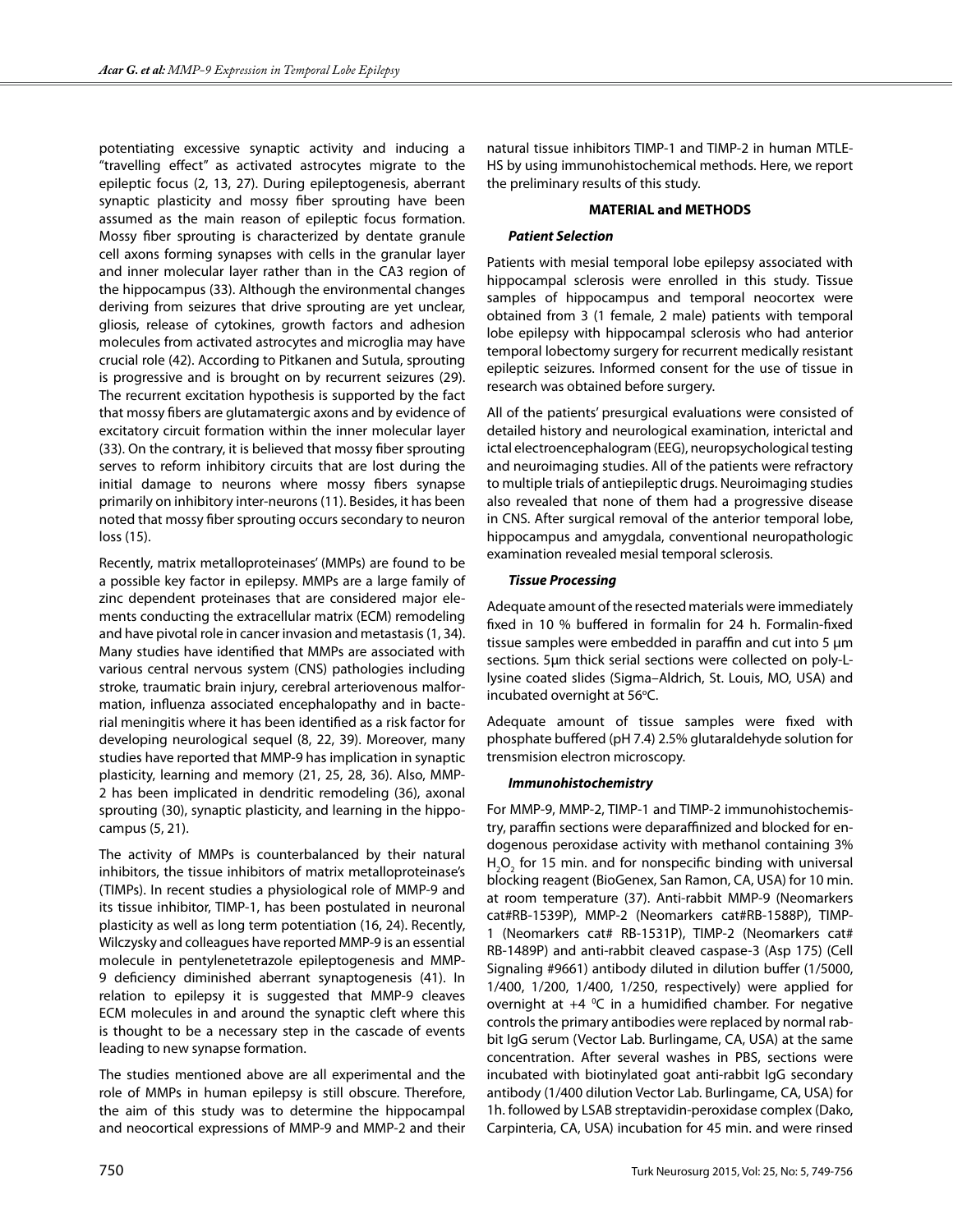potentiating excessive synaptic activity and inducing a "travelling effect" as activated astrocytes migrate to the epileptic focus (2, 13, 27). During epileptogenesis, aberrant synaptic plasticity and mossy fiber sprouting have been assumed as the main reason of epileptic focus formation. Mossy fiber sprouting is characterized by dentate granule cell axons forming synapses with cells in the granular layer and inner molecular layer rather than in the CA3 region of the hippocampus (33). Although the environmental changes deriving from seizures that drive sprouting are yet unclear, gliosis, release of cytokines, growth factors and adhesion molecules from activated astrocytes and microglia may have crucial role (42). According to Pitkanen and Sutula, sprouting is progressive and is brought on by recurrent seizures (29). The recurrent excitation hypothesis is supported by the fact that mossy fibers are glutamatergic axons and by evidence of excitatory circuit formation within the inner molecular layer (33). On the contrary, it is believed that mossy fiber sprouting serves to reform inhibitory circuits that are lost during the initial damage to neurons where mossy fibers synapse primarily on inhibitory inter-neurons (11). Besides, it has been noted that mossy fiber sprouting occurs secondary to neuron loss (15).

Recently, matrix metalloproteinases' (MMPs) are found to be a possible key factor in epilepsy. MMPs are a large family of zinc dependent proteinases that are considered major elements conducting the extracellular matrix (ECM) remodeling and have pivotal role in cancer invasion and metastasis (1, 34). Many studies have identified that MMPs are associated with various central nervous system (CNS) pathologies including stroke, traumatic brain injury, cerebral arteriovenous malformation, influenza associated encephalopathy and in bacterial meningitis where it has been identified as a risk factor for developing neurological sequel (8, 22, 39). Moreover, many studies have reported that MMP-9 has implication in synaptic plasticity, learning and memory (21, 25, 28, 36). Also, MMP-2 has been implicated in dendritic remodeling (36), axonal sprouting (30), synaptic plasticity, and learning in the hippocampus (5, 21).

The activity of MMPs is counterbalanced by their natural inhibitors, the tissue inhibitors of matrix metalloproteinase's (TIMPs). In recent studies a physiological role of MMP-9 and its tissue inhibitor, TIMP-1, has been postulated in neuronal plasticity as well as long term potentiation (16, 24). Recently, Wilczysky and colleagues have reported MMP-9 is an essential molecule in pentylenetetrazole epileptogenesis and MMP-9 deficiency diminished aberrant synaptogenesis (41). In relation to epilepsy it is suggested that MMP-9 cleaves ECM molecules in and around the synaptic cleft where this is thought to be a necessary step in the cascade of events leading to new synapse formation.

The studies mentioned above are all experimental and the role of MMPs in human epilepsy is still obscure. Therefore, the aim of this study was to determine the hippocampal and neocortical expressions of MMP-9 and MMP-2 and their natural tissue inhibitors TIMP-1 and TIMP-2 in human MTLE-HS by using immunohistochemical methods. Here, we report the preliminary results of this study.

# **MATERIAL and METHODS**

# *Patient Selection*

Patients with mesial temporal lobe epilepsy associated with hippocampal sclerosis were enrolled in this study. Tissue samples of hippocampus and temporal neocortex were obtained from 3 (1 female, 2 male) patients with temporal lobe epilepsy with hippocampal sclerosis who had anterior temporal lobectomy surgery for recurrent medically resistant epileptic seizures. Informed consent for the use of tissue in research was obtained before surgery.

All of the patients' presurgical evaluations were consisted of detailed history and neurological examination, interictal and ictal electroencephalogram (EEG), neuropsychological testing and neuroimaging studies. All of the patients were refractory to multiple trials of antiepileptic drugs. Neuroimaging studies also revealed that none of them had a progressive disease in CNS. After surgical removal of the anterior temporal lobe, hippocampus and amygdala, conventional neuropathologic examination revealed mesial temporal sclerosis.

# *Tissue Processing*

Adequate amount of the resected materials were immediately fixed in 10 % buffered in formalin for 24 h. Formalin-fixed tissue samples were embedded in paraffin and cut into 5 μm sections. 5µm thick serial sections were collected on poly-Llysine coated slides (Sigma–Aldrich, St. Louis, MO, USA) and incubated overnight at 56°C.

Adequate amount of tissue samples were fixed with phosphate buffered (pH 7.4) 2.5% glutaraldehyde solution for trensmision electron microscopy.

# *Immunohistochemistry*

For MMP-9, MMP-2, TIMP-1 and TIMP-2 immunohistochemistry, paraffin sections were deparaffinized and blocked for endogenous peroxidase activity with methanol containing 3%  $H_2O_2$  for 15 min. and for nonspecific binding with universal blocking reagent (BioGenex, San Ramon, CA, USA) for 10 min. at room temperature (37). Anti-rabbit MMP-9 (Neomarkers cat#RB-1539P), MMP-2 (Neomarkers cat#RB-1588P), TIMP-1 (Neomarkers cat# RB-1531P), TIMP-2 (Neomarkers cat# RB-1489P) and anti-rabbit cleaved caspase-3 (Asp 175) (Cell Signaling #9661) antibody diluted in dilution buffer (1/5000, 1/400, 1/200, 1/400, 1/250, respectively) were applied for overnight at  $+4$  °C in a humidified chamber. For negative controls the primary antibodies were replaced by normal rabbit IgG serum (Vector Lab. Burlingame, CA, USA) at the same concentration. After several washes in PBS, sections were incubated with biotinylated goat anti-rabbit IgG secondary antibody (1/400 dilution Vector Lab. Burlingame, CA, USA) for 1h. followed by LSAB streptavidin-peroxidase complex (Dako, Carpinteria, CA, USA) incubation for 45 min. and were rinsed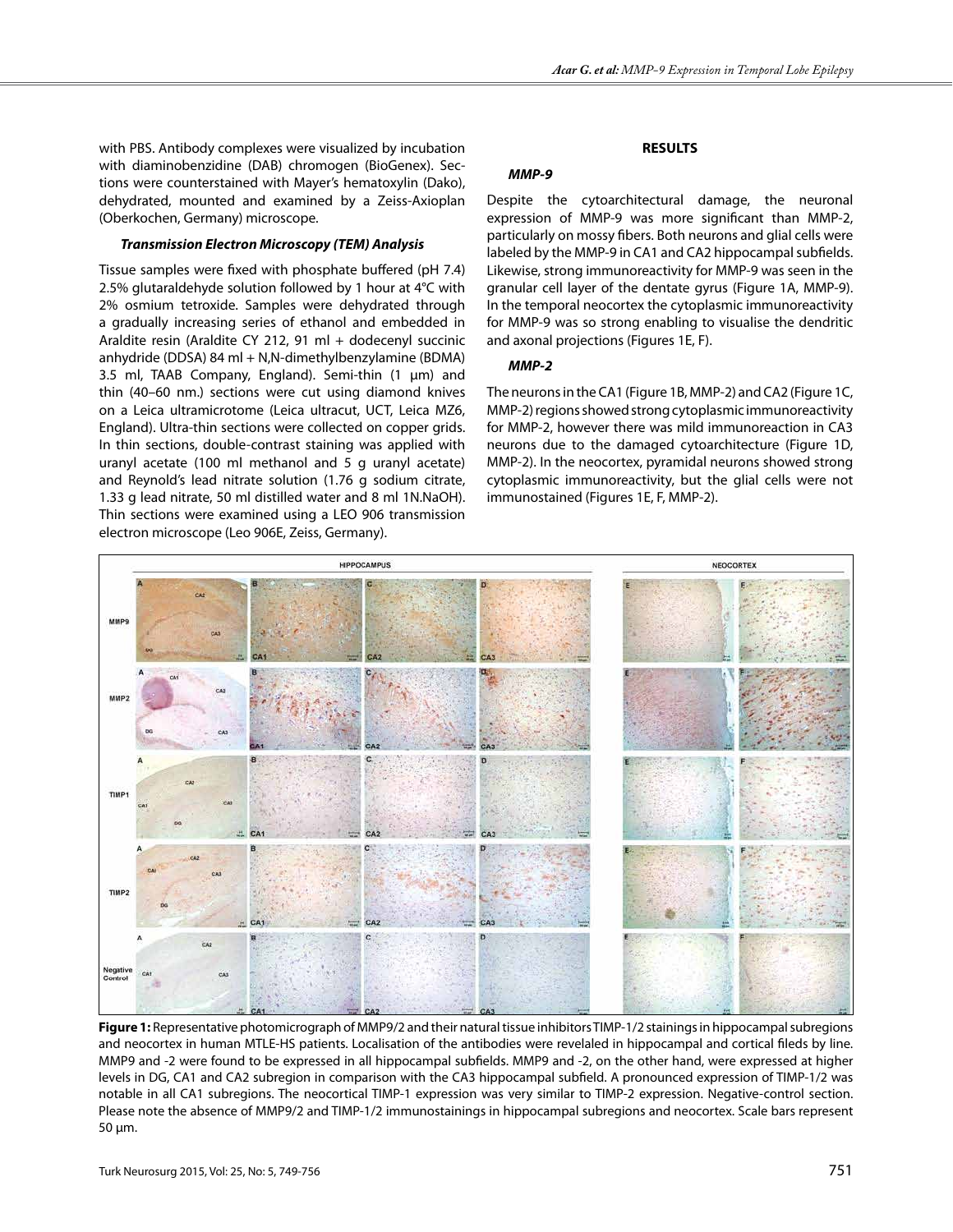with PBS. Antibody complexes were visualized by incubation with diaminobenzidine (DAB) chromogen (BioGenex). Sections were counterstained with Mayer's hematoxylin (Dako), dehydrated, mounted and examined by a Zeiss-Axioplan (Oberkochen, Germany) microscope.

# *Transmission Electron Microscopy (TEM) Analysis*

Tissue samples were fixed with phosphate buffered (pH 7.4) 2.5% glutaraldehyde solution followed by 1 hour at 4°C with 2% osmium tetroxide. Samples were dehydrated through a gradually increasing series of ethanol and embedded in Araldite resin (Araldite CY 212, 91 ml + dodecenyl succinic anhydride (DDSA) 84 ml + N,N-dimethylbenzylamine (BDMA) 3.5 ml, TAAB Company, England). Semi-thin (1 μm) and thin (40–60 nm.) sections were cut using diamond knives on a Leica ultramicrotome (Leica ultracut, UCT, Leica MZ6, England). Ultra-thin sections were collected on copper grids. In thin sections, double-contrast staining was applied with uranyl acetate (100 ml methanol and 5 g uranyl acetate) and Reynold's lead nitrate solution (1.76 g sodium citrate, 1.33 g lead nitrate, 50 ml distilled water and 8 ml 1N.NaOH). Thin sections were examined using a LEO 906 transmission electron microscope (Leo 906E, Zeiss, Germany).

## **RESULTS**

# *MMP-9*

Despite the cytoarchitectural damage, the neuronal expression of MMP-9 was more significant than MMP-2, particularly on mossy fibers. Both neurons and glial cells were labeled by the MMP-9 in CA1 and CA2 hippocampal subfields. Likewise, strong immunoreactivity for MMP-9 was seen in the granular cell layer of the dentate gyrus (Figure 1A, MMP-9). In the temporal neocortex the cytoplasmic immunoreactivity for MMP-9 was so strong enabling to visualise the dendritic and axonal projections (Figures 1E, F).

# *MMP-2*

The neurons in the CA1 (Figure 1B, MMP-2) and CA2 (Figure 1C, MMP-2) regions showed strong cytoplasmic immunoreactivity for MMP-2, however there was mild immunoreaction in CA3 neurons due to the damaged cytoarchitecture (Figure 1D, MMP-2). In the neocortex, pyramidal neurons showed strong cytoplasmic immunoreactivity, but the glial cells were not immunostained (Figures 1E, F, MMP-2).



**Figure 1:** Representative photomicrograph of MMP9/2 and their natural tissue inhibitors TIMP-1/2 stainings in hippocampal subregions and neocortex in human MTLE-HS patients. Localisation of the antibodies were revelaled in hippocampal and cortical fileds by line. MMP9 and -2 were found to be expressed in all hippocampal subfields. MMP9 and -2, on the other hand, were expressed at higher levels in DG, CA1 and CA2 subregion in comparison with the CA3 hippocampal subfield. A pronounced expression of TIMP-1/2 was notable in all CA1 subregions. The neocortical TIMP-1 expression was very similar to TIMP-2 expression. Negative-control section. Please note the absence of MMP9/2 and TIMP-1/2 immunostainings in hippocampal subregions and neocortex. Scale bars represent 50 μm.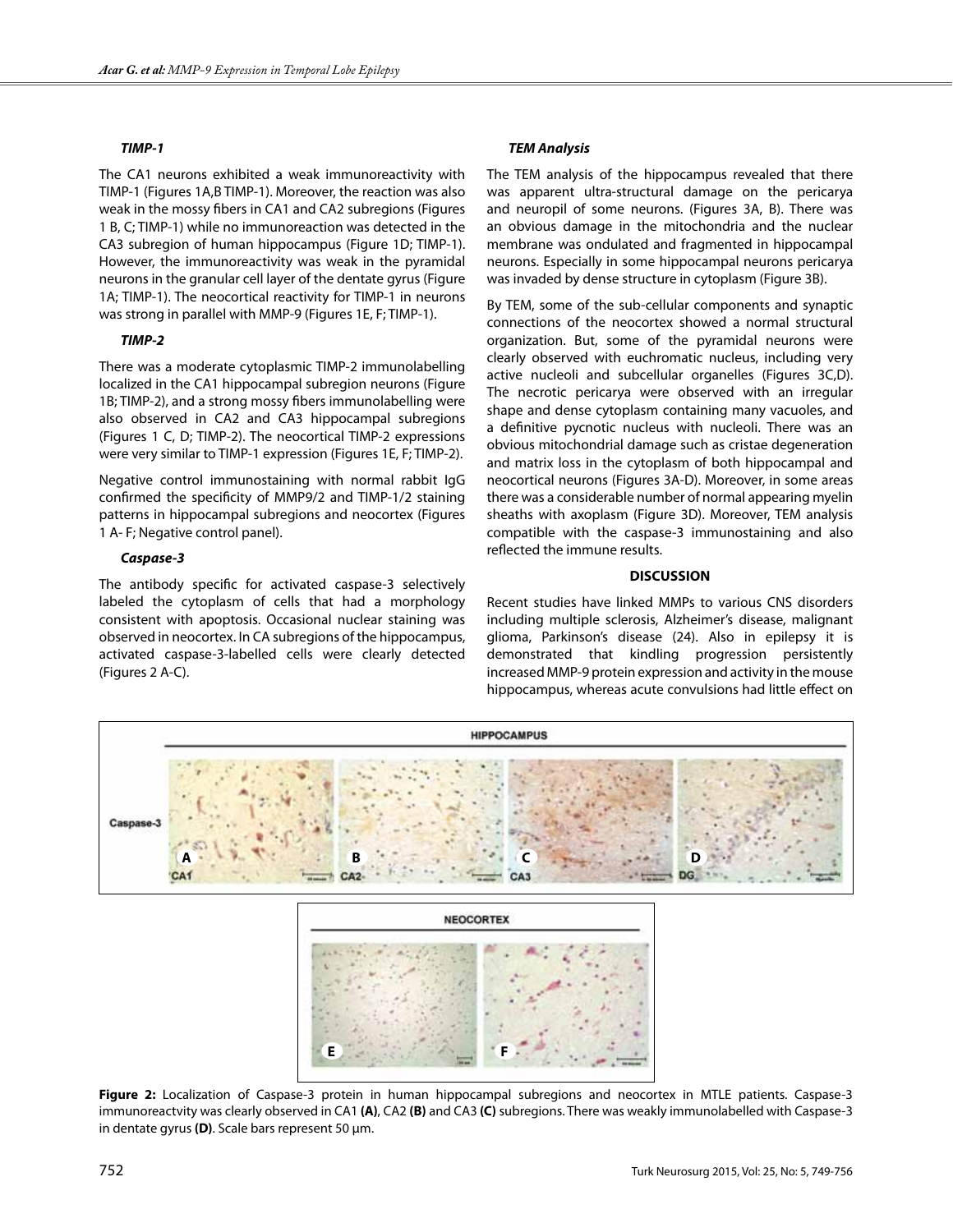#### *TIMP-1*

The CA1 neurons exhibited a weak immunoreactivity with TIMP-1 (Figures 1A,B TIMP-1). Moreover, the reaction was also weak in the mossy fibers in CA1 and CA2 subregions (Figures 1 B, C; TIMP-1) while no immunoreaction was detected in the CA3 subregion of human hippocampus (Figure 1D; TIMP-1). However, the immunoreactivity was weak in the pyramidal neurons in the granular cell layer of the dentate gyrus (Figure 1A; TIMP-1). The neocortical reactivity for TIMP-1 in neurons was strong in parallel with MMP-9 (Figures 1E, F; TIMP-1).

#### *TIMP-2*

There was a moderate cytoplasmic TIMP-2 immunolabelling localized in the CA1 hippocampal subregion neurons (Figure 1B; TIMP-2), and a strong mossy fibers immunolabelling were also observed in CA2 and CA3 hippocampal subregions (Figures 1 C, D; TIMP-2). The neocortical TIMP-2 expressions were very similar to TIMP-1 expression (Figures 1E, F; TIMP-2).

Negative control immunostaining with normal rabbit IgG confirmed the specificity of MMP9/2 and TIMP-1/2 staining patterns in hippocampal subregions and neocortex (Figures 1 A- F; Negative control panel).

#### *Caspase-3*

The antibody specific for activated caspase-3 selectively labeled the cytoplasm of cells that had a morphology consistent with apoptosis. Occasional nuclear staining was observed in neocortex. In CA subregions of the hippocampus, activated caspase-3-labelled cells were clearly detected (Figures 2 A-C).

# *TEM Analysis*

The TEM analysis of the hippocampus revealed that there was apparent ultra-structural damage on the pericarya and neuropil of some neurons. (Figures 3A, B). There was an obvious damage in the mitochondria and the nuclear membrane was ondulated and fragmented in hippocampal neurons. Especially in some hippocampal neurons pericarya was invaded by dense structure in cytoplasm (Figure 3B).

By TEM, some of the sub-cellular components and synaptic connections of the neocortex showed a normal structural organization. But, some of the pyramidal neurons were clearly observed with euchromatic nucleus, including very active nucleoli and subcellular organelles (Figures 3C,D). The necrotic pericarya were observed with an irregular shape and dense cytoplasm containing many vacuoles, and a definitive pycnotic nucleus with nucleoli. There was an obvious mitochondrial damage such as cristae degeneration and matrix loss in the cytoplasm of both hippocampal and neocortical neurons (Figures 3A-D). Moreover, in some areas there was a considerable number of normal appearing myelin sheaths with axoplasm (Figure 3D). Moreover, TEM analysis compatible with the caspase-3 immunostaining and also reflected the immune results.

## **DISCUSSION**

Recent studies have linked MMPs to various CNS disorders including multiple sclerosis, Alzheimer's disease, malignant glioma, Parkinson's disease (24). Also in epilepsy it is demonstrated that kindling progression persistently increased MMP-9 protein expression and activity in the mouse hippocampus, whereas acute convulsions had little effect on



**Figure 2:** Localization of Caspase-3 protein in human hippocampal subregions and neocortex in MTLE patients. Caspase-3 immunoreactvity was clearly observed in CA1 **(A)**, CA2 **(B)** and CA3 **(C)** subregions. There was weakly immunolabelled with Caspase-3 in dentate gyrus **(D)**. Scale bars represent 50 μm.

**E** *f f*<sub> *f*</sub> *f f f*<sup></sup> *f f f f f f*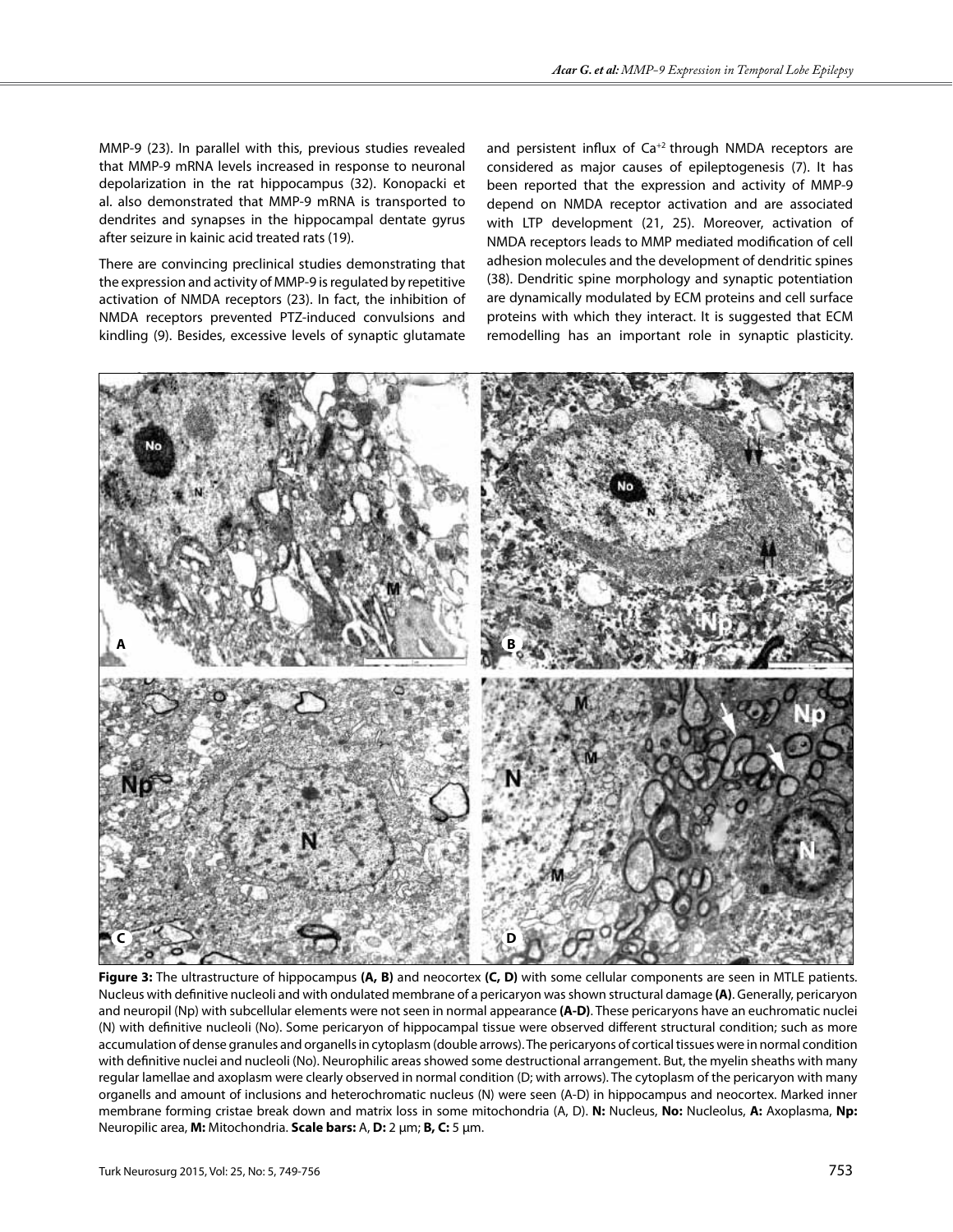MMP-9 (23). In parallel with this, previous studies revealed that MMP-9 mRNA levels increased in response to neuronal depolarization in the rat hippocampus (32). Konopacki et al. also demonstrated that MMP-9 mRNA is transported to dendrites and synapses in the hippocampal dentate gyrus after seizure in kainic acid treated rats (19).

There are convincing preclinical studies demonstrating that the expression and activity of MMP-9 is regulated by repetitive activation of NMDA receptors (23). In fact, the inhibition of NMDA receptors prevented PTZ-induced convulsions and kindling (9). Besides, excessive levels of synaptic glutamate

and persistent influx of  $Ca^{+2}$  through NMDA receptors are considered as major causes of epileptogenesis (7). It has been reported that the expression and activity of MMP-9 depend on NMDA receptor activation and are associated with LTP development (21, 25). Moreover, activation of NMDA receptors leads to MMP mediated modification of cell adhesion molecules and the development of dendritic spines (38). Dendritic spine morphology and synaptic potentiation are dynamically modulated by ECM proteins and cell surface proteins with which they interact. It is suggested that ECM remodelling has an important role in synaptic plasticity.



**Figure 3:** The ultrastructure of hippocampus **(A, B)** and neocortex **(C, D)** with some cellular components are seen in MTLE patients. Nucleus with definitive nucleoli and with ondulated membrane of a pericaryon was shown structural damage **(A)**. Generally, pericaryon and neuropil (Np) with subcellular elements were not seen in normal appearance **(A-D)**. These pericaryons have an euchromatic nuclei (N) with definitive nucleoli (No). Some pericaryon of hippocampal tissue were observed different structural condition; such as more accumulation of dense granules and organells in cytoplasm (double arrows). The pericaryons of cortical tissues were in normal condition with definitive nuclei and nucleoli (No). Neurophilic areas showed some destructional arrangement. But, the myelin sheaths with many regular lamellae and axoplasm were clearly observed in normal condition (D; with arrows). The cytoplasm of the pericaryon with many organells and amount of inclusions and heterochromatic nucleus (N) were seen (A-D) in hippocampus and neocortex. Marked inner membrane forming cristae break down and matrix loss in some mitochondria (A, D). **N:** Nucleus, **No:** Nucleolus, **A:** Axoplasma, **Np:** Neuropilic area, **M:** Mitochondria. **Scale bars:** A, **D:** 2 μm; **B, C:** 5 μm.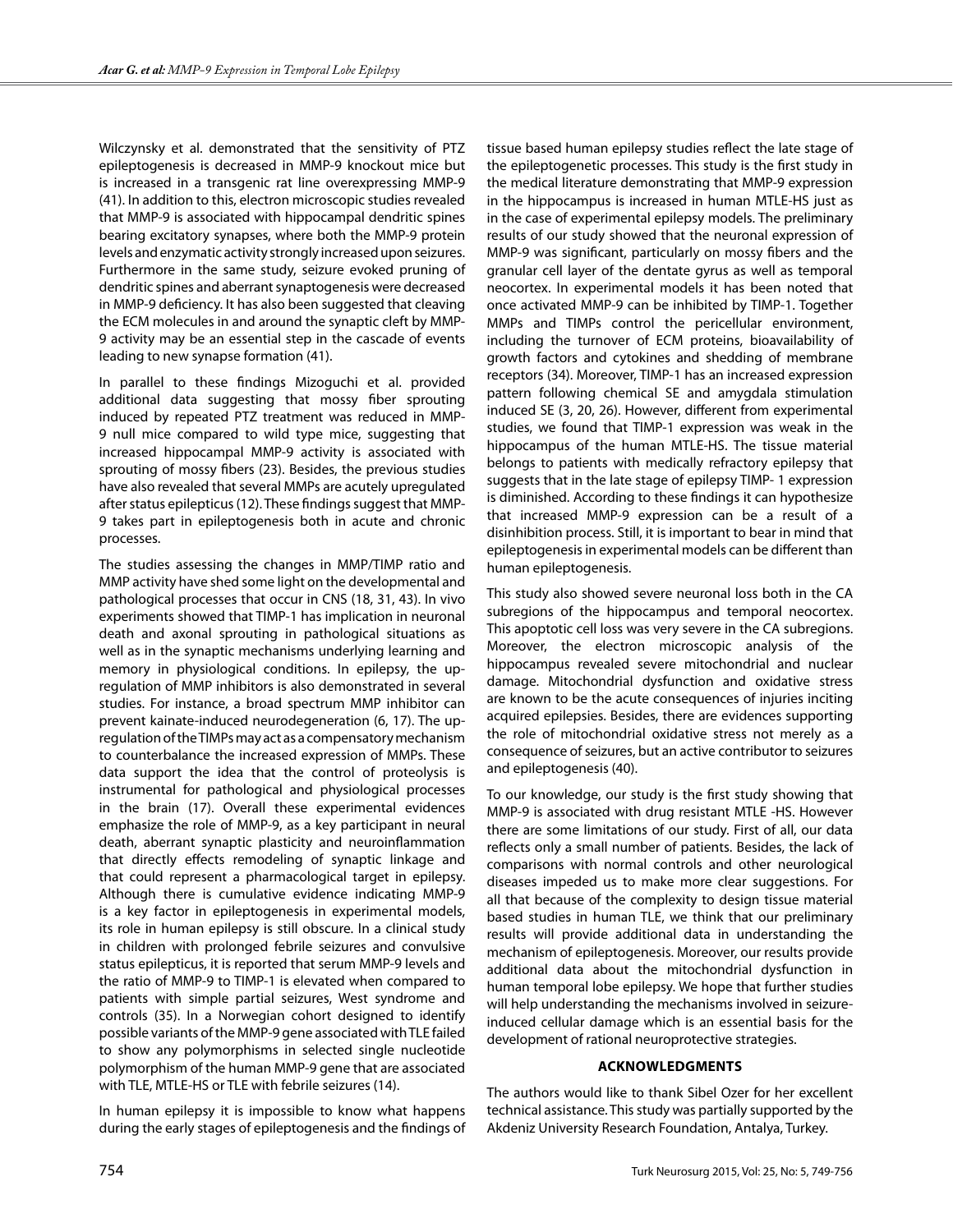Wilczynsky et al. demonstrated that the sensitivity of PTZ epileptogenesis is decreased in MMP-9 knockout mice but is increased in a transgenic rat line overexpressing MMP-9 (41). In addition to this, electron microscopic studies revealed that MMP-9 is associated with hippocampal dendritic spines bearing excitatory synapses, where both the MMP-9 protein levels and enzymatic activity strongly increased upon seizures. Furthermore in the same study, seizure evoked pruning of dendritic spines and aberrant synaptogenesis were decreased in MMP-9 deficiency. It has also been suggested that cleaving the ECM molecules in and around the synaptic cleft by MMP-9 activity may be an essential step in the cascade of events leading to new synapse formation (41).

In parallel to these findings Mizoguchi et al. provided additional data suggesting that mossy fiber sprouting induced by repeated PTZ treatment was reduced in MMP-9 null mice compared to wild type mice, suggesting that increased hippocampal MMP-9 activity is associated with sprouting of mossy fibers (23). Besides, the previous studies have also revealed that several MMPs are acutely upregulated after status epilepticus (12). These findings suggest that MMP-9 takes part in epileptogenesis both in acute and chronic processes.

The studies assessing the changes in MMP/TIMP ratio and MMP activity have shed some light on the developmental and pathological processes that occur in CNS (18, 31, 43). In vivo experiments showed that TIMP-1 has implication in neuronal death and axonal sprouting in pathological situations as well as in the synaptic mechanisms underlying learning and memory in physiological conditions. In epilepsy, the upregulation of MMP inhibitors is also demonstrated in several studies. For instance, a broad spectrum MMP inhibitor can prevent kainate-induced neurodegeneration (6, 17). The upregulation of the TIMPs may act as a compensatory mechanism to counterbalance the increased expression of MMPs. These data support the idea that the control of proteolysis is instrumental for pathological and physiological processes in the brain (17). Overall these experimental evidences emphasize the role of MMP-9, as a key participant in neural death, aberrant synaptic plasticity and neuroinflammation that directly effects remodeling of synaptic linkage and that could represent a pharmacological target in epilepsy. Although there is cumulative evidence indicating MMP-9 is a key factor in epileptogenesis in experimental models, its role in human epilepsy is still obscure. In a clinical study in children with prolonged febrile seizures and convulsive status epilepticus, it is reported that serum MMP-9 levels and the ratio of MMP-9 to TIMP-1 is elevated when compared to patients with simple partial seizures, West syndrome and controls (35). In a Norwegian cohort designed to identify possible variants of the MMP-9 gene associated with TLE failed to show any polymorphisms in selected single nucleotide polymorphism of the human MMP-9 gene that are associated with TLE, MTLE-HS or TLE with febrile seizures (14).

In human epilepsy it is impossible to know what happens during the early stages of epileptogenesis and the findings of

tissue based human epilepsy studies reflect the late stage of the epileptogenetic processes. This study is the first study in the medical literature demonstrating that MMP-9 expression in the hippocampus is increased in human MTLE-HS just as in the case of experimental epilepsy models. The preliminary results of our study showed that the neuronal expression of MMP-9 was significant, particularly on mossy fibers and the granular cell layer of the dentate gyrus as well as temporal neocortex. In experimental models it has been noted that once activated MMP-9 can be inhibited by TIMP-1. Together MMPs and TIMPs control the pericellular environment, including the turnover of ECM proteins, bioavailability of growth factors and cytokines and shedding of membrane receptors (34). Moreover, TIMP-1 has an increased expression pattern following chemical SE and amygdala stimulation induced SE (3, 20, 26). However, different from experimental studies, we found that TIMP-1 expression was weak in the hippocampus of the human MTLE-HS. The tissue material belongs to patients with medically refractory epilepsy that suggests that in the late stage of epilepsy TIMP- 1 expression is diminished. According to these findings it can hypothesize that increased MMP-9 expression can be a result of a disinhibition process. Still, it is important to bear in mind that epileptogenesis in experimental models can be different than human epileptogenesis.

This study also showed severe neuronal loss both in the CA subregions of the hippocampus and temporal neocortex. This apoptotic cell loss was very severe in the CA subregions. Moreover, the electron microscopic analysis of the hippocampus revealed severe mitochondrial and nuclear damage. Mitochondrial dysfunction and oxidative stress are known to be the acute consequences of injuries inciting acquired epilepsies. Besides, there are evidences supporting the role of mitochondrial oxidative stress not merely as a consequence of seizures, but an active contributor to seizures and epileptogenesis (40).

To our knowledge, our study is the first study showing that MMP-9 is associated with drug resistant MTLE -HS. However there are some limitations of our study. First of all, our data reflects only a small number of patients. Besides, the lack of comparisons with normal controls and other neurological diseases impeded us to make more clear suggestions. For all that because of the complexity to design tissue material based studies in human TLE, we think that our preliminary results will provide additional data in understanding the mechanism of epileptogenesis. Moreover, our results provide additional data about the mitochondrial dysfunction in human temporal lobe epilepsy. We hope that further studies will help understanding the mechanisms involved in seizureinduced cellular damage which is an essential basis for the development of rational neuroprotective strategies.

# **Acknowledgments**

The authors would like to thank Sibel Ozer for her excellent technical assistance. This study was partially supported by the Akdeniz University Research Foundation, Antalya, Turkey.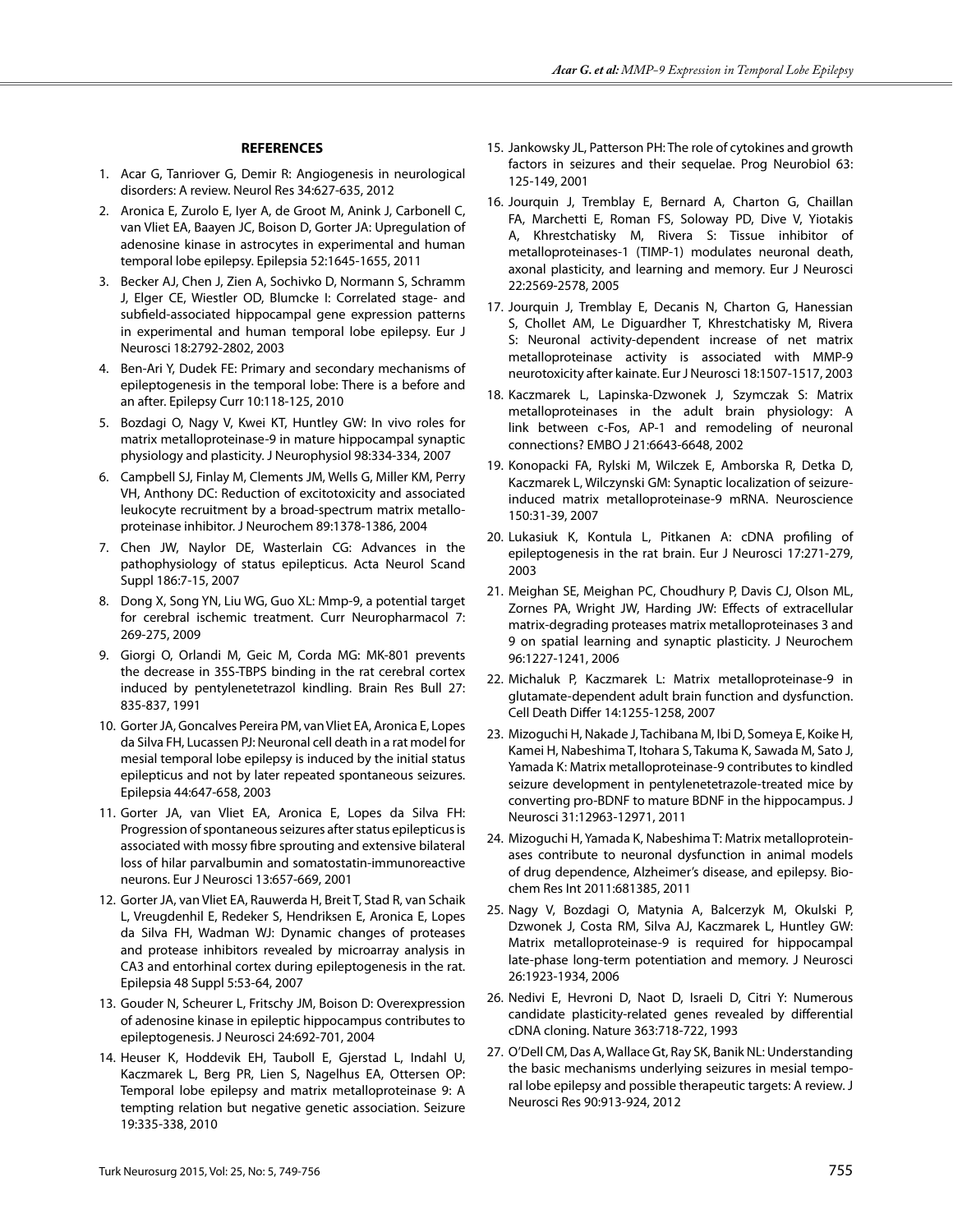## **REFERENCES**

- 1. Acar G, Tanriover G, Demir R: Angiogenesis in neurological disorders: A review. Neurol Res 34:627-635, 2012
- 2. Aronica E, Zurolo E, Iyer A, de Groot M, Anink J, Carbonell C, van Vliet EA, Baayen JC, Boison D, Gorter JA: Upregulation of adenosine kinase in astrocytes in experimental and human temporal lobe epilepsy. Epilepsia 52:1645-1655, 2011
- 3. Becker AJ, Chen J, Zien A, Sochivko D, Normann S, Schramm J, Elger CE, Wiestler OD, Blumcke I: Correlated stage- and subfield-associated hippocampal gene expression patterns in experimental and human temporal lobe epilepsy. Eur J Neurosci 18:2792-2802, 2003
- 4. Ben-Ari Y, Dudek FE: Primary and secondary mechanisms of epileptogenesis in the temporal lobe: There is a before and an after. Epilepsy Curr 10:118-125, 2010
- 5. Bozdagi O, Nagy V, Kwei KT, Huntley GW: In vivo roles for matrix metalloproteinase-9 in mature hippocampal synaptic physiology and plasticity. J Neurophysiol 98:334-334, 2007
- 6. Campbell SJ, Finlay M, Clements JM, Wells G, Miller KM, Perry VH, Anthony DC: Reduction of excitotoxicity and associated leukocyte recruitment by a broad-spectrum matrix metalloproteinase inhibitor. J Neurochem 89:1378-1386, 2004
- 7. Chen JW, Naylor DE, Wasterlain CG: Advances in the pathophysiology of status epilepticus. Acta Neurol Scand Suppl 186:7-15, 2007
- 8. Dong X, Song YN, Liu WG, Guo XL: Mmp-9, a potential target for cerebral ischemic treatment. Curr Neuropharmacol 7: 269-275, 2009
- 9. Giorgi O, Orlandi M, Geic M, Corda MG: MK-801 prevents the decrease in 35S-TBPS binding in the rat cerebral cortex induced by pentylenetetrazol kindling. Brain Res Bull 27: 835-837, 1991
- 10. Gorter JA, Goncalves Pereira PM, van Vliet EA, Aronica E, Lopes da Silva FH, Lucassen PJ: Neuronal cell death in a rat model for mesial temporal lobe epilepsy is induced by the initial status epilepticus and not by later repeated spontaneous seizures. Epilepsia 44:647-658, 2003
- 11. Gorter JA, van Vliet EA, Aronica E, Lopes da Silva FH: Progression of spontaneous seizures after status epilepticus is associated with mossy fibre sprouting and extensive bilateral loss of hilar parvalbumin and somatostatin-immunoreactive neurons. Eur J Neurosci 13:657-669, 2001
- 12. Gorter JA, van Vliet EA, Rauwerda H, Breit T, Stad R, van Schaik L, Vreugdenhil E, Redeker S, Hendriksen E, Aronica E, Lopes da Silva FH, Wadman WJ: Dynamic changes of proteases and protease inhibitors revealed by microarray analysis in CA3 and entorhinal cortex during epileptogenesis in the rat. Epilepsia 48 Suppl 5:53-64, 2007
- 13. Gouder N, Scheurer L, Fritschy JM, Boison D: Overexpression of adenosine kinase in epileptic hippocampus contributes to epileptogenesis. J Neurosci 24:692-701, 2004
- 14. Heuser K, Hoddevik EH, Tauboll E, Gjerstad L, Indahl U, Kaczmarek L, Berg PR, Lien S, Nagelhus EA, Ottersen OP: Temporal lobe epilepsy and matrix metalloproteinase 9: A tempting relation but negative genetic association. Seizure 19:335-338, 2010
- 15. Jankowsky JL, Patterson PH: The role of cytokines and growth factors in seizures and their sequelae. Prog Neurobiol 63: 125-149, 2001
- 16. Jourquin J, Tremblay E, Bernard A, Charton G, Chaillan FA, Marchetti E, Roman FS, Soloway PD, Dive V, Yiotakis A, Khrestchatisky M, Rivera S: Tissue inhibitor of metalloproteinases-1 (TIMP-1) modulates neuronal death, axonal plasticity, and learning and memory. Eur J Neurosci 22:2569-2578, 2005
- 17. Jourquin J, Tremblay E, Decanis N, Charton G, Hanessian S, Chollet AM, Le Diguardher T, Khrestchatisky M, Rivera S: Neuronal activity-dependent increase of net matrix metalloproteinase activity is associated with MMP-9 neurotoxicity after kainate. Eur J Neurosci 18:1507-1517, 2003
- 18. Kaczmarek L, Lapinska-Dzwonek J, Szymczak S: Matrix metalloproteinases in the adult brain physiology: A link between c-Fos, AP-1 and remodeling of neuronal connections? EMBO J 21:6643-6648, 2002
- 19. Konopacki FA, Rylski M, Wilczek E, Amborska R, Detka D, Kaczmarek L, Wilczynski GM: Synaptic localization of seizureinduced matrix metalloproteinase-9 mRNA. Neuroscience 150:31-39, 2007
- 20. Lukasiuk K, Kontula L, Pitkanen A: cDNA profiling of epileptogenesis in the rat brain. Eur J Neurosci 17:271-279, 2003
- 21. Meighan SE, Meighan PC, Choudhury P, Davis CJ, Olson ML, Zornes PA, Wright JW, Harding JW: Effects of extracellular matrix-degrading proteases matrix metalloproteinases 3 and 9 on spatial learning and synaptic plasticity. J Neurochem 96:1227-1241, 2006
- 22. Michaluk P, Kaczmarek L: Matrix metalloproteinase-9 in glutamate-dependent adult brain function and dysfunction. Cell Death Differ 14:1255-1258, 2007
- 23. Mizoguchi H, Nakade J, Tachibana M, Ibi D, Someya E, Koike H, Kamei H, Nabeshima T, Itohara S, Takuma K, Sawada M, Sato J, Yamada K: Matrix metalloproteinase-9 contributes to kindled seizure development in pentylenetetrazole-treated mice by converting pro-BDNF to mature BDNF in the hippocampus. J Neurosci 31:12963-12971, 2011
- 24. Mizoguchi H, Yamada K, Nabeshima T: Matrix metalloproteinases contribute to neuronal dysfunction in animal models of drug dependence, Alzheimer's disease, and epilepsy. Biochem Res Int 2011:681385, 2011
- 25. Nagy V, Bozdagi O, Matynia A, Balcerzyk M, Okulski P, Dzwonek J, Costa RM, Silva AJ, Kaczmarek L, Huntley GW: Matrix metalloproteinase-9 is required for hippocampal late-phase long-term potentiation and memory. J Neurosci 26:1923-1934, 2006
- 26. Nedivi E, Hevroni D, Naot D, Israeli D, Citri Y: Numerous candidate plasticity-related genes revealed by differential cDNA cloning. Nature 363:718-722, 1993
- 27. O'Dell CM, Das A, Wallace Gt, Ray SK, Banik NL: Understanding the basic mechanisms underlying seizures in mesial temporal lobe epilepsy and possible therapeutic targets: A review. J Neurosci Res 90:913-924, 2012